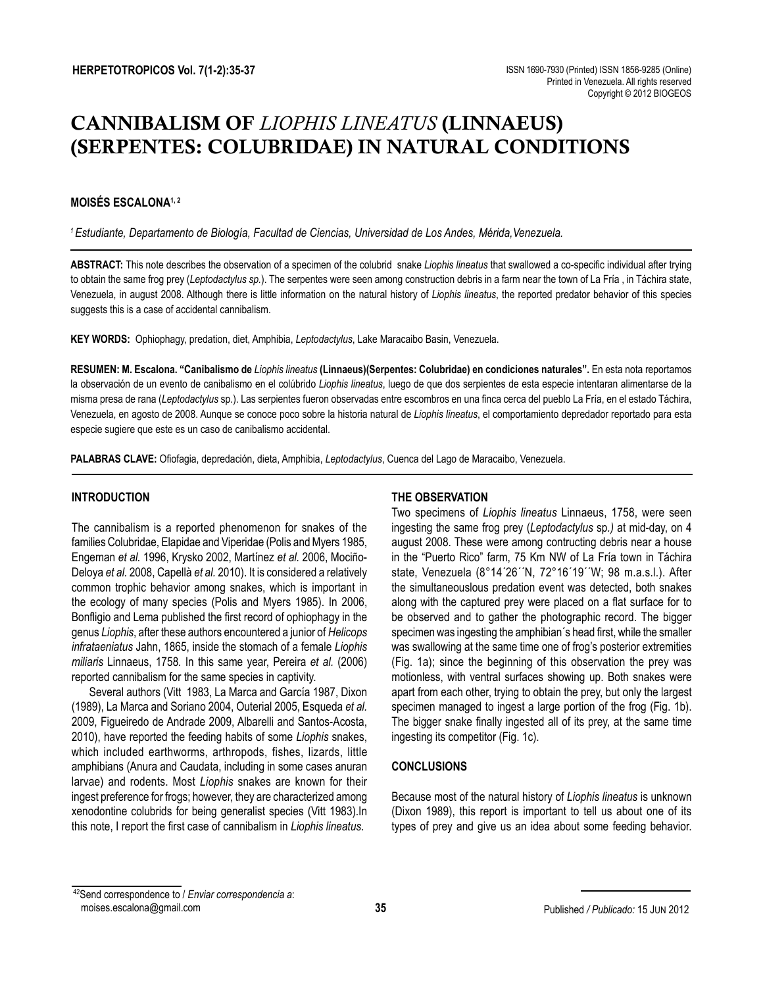# CANNIBALISM OF *LIOPHIS LINEATUS* (LINNAEUS) (SERPENTES: COLUBRIDAE) IN NATURAL CONDITIONS

## **MOISÉS ESCALONA1, 2**

*1 Estudiante, Departamento de Biología, Facultad de Ciencias, Universidad de Los Andes, Mérida,Venezuela.*

**ABSTRACT:** This note describes the observation of a specimen of the colubrid snake *Liophis lineatus* that swallowed a co-specific individual after trying to obtain the same frog prey (*Leptodactylus sp.*). The serpentes were seen among construction debris in a farm near the town of La Fría , in Táchira state, Venezuela, in august 2008. Although there is little information on the natural history of *Liophis lineatus*, the reported predator behavior of this species suggests this is a case of accidental cannibalism.

**KEY WORDS:** Ophiophagy, predation, diet, Amphibia, *Leptodactylus*, Lake Maracaibo Basin, Venezuela.

**RESUMEN: M. Escalona. "Canibalismo de** *Liophis lineatus* **(Linnaeus)(Serpentes: Colubridae) en condiciones naturales".** En esta nota reportamos la observación de un evento de canibalismo en el colúbrido *Liophis lineatus*, luego de que dos serpientes de esta especie intentaran alimentarse de la misma presa de rana (*Leptodactylus* sp.). Las serpientes fueron observadas entre escombros en una finca cerca del pueblo La Fría, en el estado Táchira, Venezuela, en agosto de 2008. Aunque se conoce poco sobre la historia natural de *Liophis lineatus*, el comportamiento depredador reportado para esta especie sugiere que este es un caso de canibalismo accidental.

**PALABRAS CLAVE:** Ofiofagia, depredación, dieta, Amphibia, *Leptodactylus*, Cuenca del Lago de Maracaibo, Venezuela.

## **INTRODUCTION**

The cannibalism is a reported phenomenon for snakes of the families Colubridae, Elapidae and Viperidae (Polis and Myers 1985, Engeman *et al.* 1996, Krysko 2002, Martínez *et al.* 2006, Mociño-Deloya *et al.* 2008, Capellà *et al.* 2010). It is considered a relatively common trophic behavior among snakes, which is important in the ecology of many species (Polis and Myers 1985). In 2006, Bonfligio and Lema published the first record of ophiophagy in the genus *Liophis*, after these authors encountered a junior of *Helicops infrataeniatus* Jahn, 1865, inside the stomach of a female *Liophis miliaris* Linnaeus, 1758*.* In this same year, Pereira *et al.* (2006) reported cannibalism for the same species in captivity.

Several authors (Vitt 1983, La Marca and García 1987, Dixon (1989), La Marca and Soriano 2004, Outerial 2005, Esqueda *et al.*  2009, Figueiredo de Andrade 2009, Albarelli and Santos-Acosta, 2010), have reported the feeding habits of some *Liophis* snakes, which included earthworms, arthropods, fishes, lizards, little amphibians (Anura and Caudata, including in some cases anuran larvae) and rodents. Most *Liophis* snakes are known for their ingest preference for frogs; however, they are characterized among xenodontine colubrids for being generalist species (Vitt 1983).In this note, I report the first case of cannibalism in *Liophis lineatus*.

## **THE OBSERVATION**

Two specimens of *Liophis lineatus* Linnaeus, 1758, were seen ingesting the same frog prey (*Leptodactylus* sp*.)* at mid-day, on 4 august 2008. These were among contructing debris near a house in the "Puerto Rico" farm, 75 Km NW of La Fría town in Táchira state, Venezuela (8°14´26´´N, 72°16´19´´W; 98 m.a.s.l.). After the simultaneouslous predation event was detected, both snakes along with the captured prey were placed on a flat surface for to be observed and to gather the photographic record. The bigger specimen was ingesting the amphibian´s head first, while the smaller was swallowing at the same time one of frog's posterior extremities (Fig. 1a); since the beginning of this observation the prey was motionless, with ventral surfaces showing up. Both snakes were apart from each other, trying to obtain the prey, but only the largest specimen managed to ingest a large portion of the frog (Fig. 1b). The bigger snake finally ingested all of its prey, at the same time ingesting its competitor (Fig. 1c).

## **CONCLUSIONS**

Because most of the natural history of *Liophis lineatus* is unknown (Dixon 1989), this report is important to tell us about one of its types of prey and give us an idea about some feeding behavior.

<sup>42</sup>Send correspondence to / *Enviar correspondencia a*: moises.escalona@gmail.com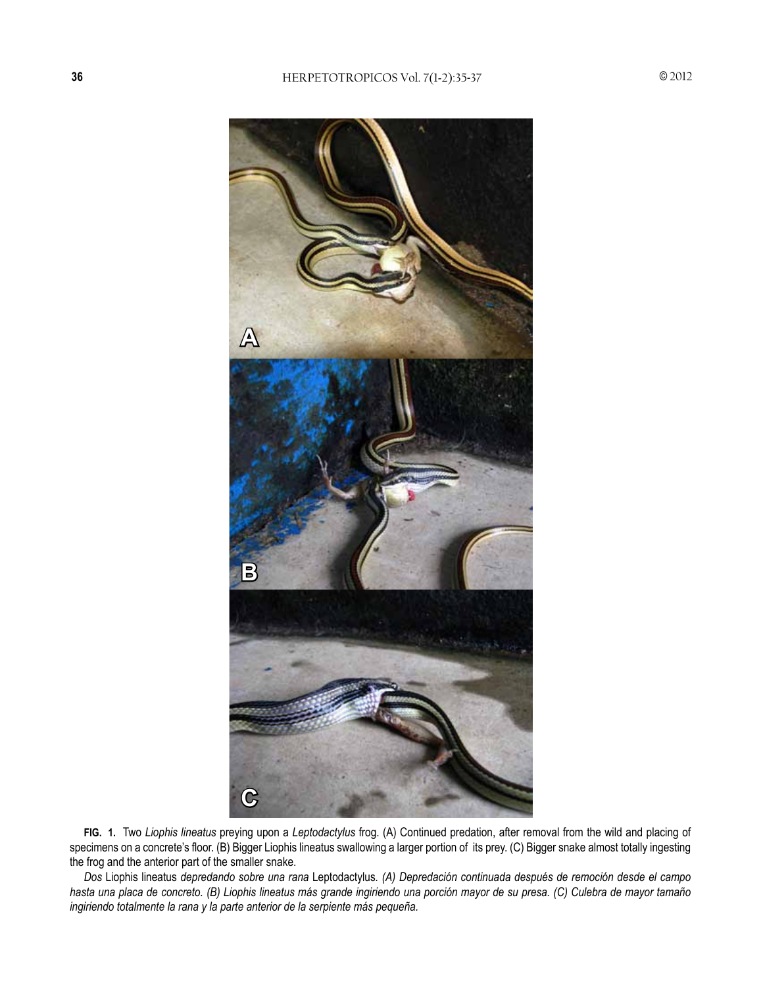

**FIG. 1.** Two *Liophis lineatus* preying upon a *Leptodactylus* frog. (A) Continued predation, after removal from the wild and placing of specimens on a concrete's floor. (B) Bigger Liophis lineatus swallowing a larger portion of its prey. (C) Bigger snake almost totally ingesting the frog and the anterior part of the smaller snake.

*Dos* Liophis lineatus *depredando sobre una rana* Leptodactylus*. (A) Depredación continuada después de remoción desde el campo hasta una placa de concreto. (B) Liophis lineatus más grande ingiriendo una porción mayor de su presa. (C) Culebra de mayor tamaño ingiriendo totalmente la rana y la parte anterior de la serpiente más pequeña.*